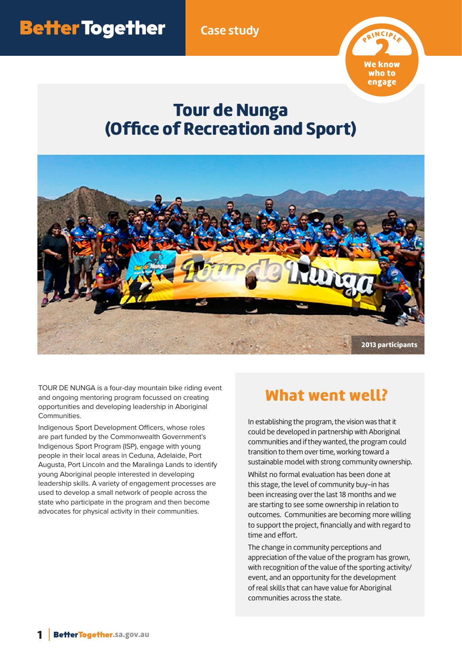**Case study**



# Tour de Nunga (Office of Recreation and Sport)



TOUR DE NUNGA is a four-day mountain bike riding event and ongoing mentoring program focussed on creating opportunities and developing leadership in Aboriginal Communities.

Indigenous Sport Development Officers, whose roles are part funded by the Commonwealth Government's Indigenous Sport Program (ISP), engage with young people in their local areas in Ceduna, Adelaide, Port Augusta, Port Lincoln and the Maralinga Lands to identify young Aboriginal people interested in developing leadership skills. A variety of engagement processes are used to develop a small network of people across the state who participate in the program and then become advocates for physical activity in their communities.

#### What went well?

In establishing the program, the vision was that it could be developed in partnership with Aboriginal communities and if they wanted, the program could transition to them over time, working toward a sustainable model with strong community ownership. Whilst no formal evaluation has been done at this stage, the level of community buy-in has been increasing over the last 18 months and we are starting to see some ownership in relation to outcomes. Communities are becoming more willing to support the project, financially and with regard to time and effort.

The change in community perceptions and appreciation of the value of the program has grown, with recognition of the value of the sporting activity/ event, and an opportunity for the development of real skills that can have value for Aboriginal communities across the state.